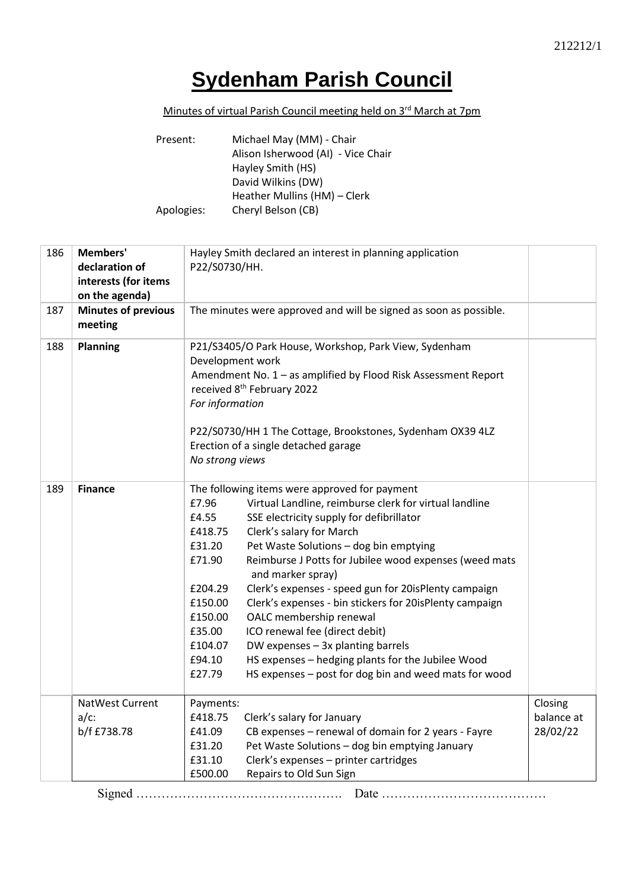## **Sydenham Parish Council**

## Minutes of virtual Parish Council meeting held on 3<sup>rd</sup> March at 7pm

| Present:   | Michael May (MM) - Chair           |
|------------|------------------------------------|
|            | Alison Isherwood (AI) - Vice Chair |
|            | Hayley Smith (HS)                  |
|            | David Wilkins (DW)                 |
|            | Heather Mullins (HM) - Clerk       |
| Apologies: | Cheryl Belson (CB)                 |

| 186 | Members'<br>declaration of<br>interests (for items<br>on the agenda) | Hayley Smith declared an interest in planning application<br>P22/S0730/HH.                                                                                                                                                                                                                                                                                                                                                                                                                                                                                                                                                                                                                                                                                             |                                   |
|-----|----------------------------------------------------------------------|------------------------------------------------------------------------------------------------------------------------------------------------------------------------------------------------------------------------------------------------------------------------------------------------------------------------------------------------------------------------------------------------------------------------------------------------------------------------------------------------------------------------------------------------------------------------------------------------------------------------------------------------------------------------------------------------------------------------------------------------------------------------|-----------------------------------|
| 187 | <b>Minutes of previous</b><br>meeting                                | The minutes were approved and will be signed as soon as possible.                                                                                                                                                                                                                                                                                                                                                                                                                                                                                                                                                                                                                                                                                                      |                                   |
| 188 | <b>Planning</b>                                                      | P21/S3405/O Park House, Workshop, Park View, Sydenham<br>Development work<br>Amendment No. 1 - as amplified by Flood Risk Assessment Report<br>received 8 <sup>th</sup> February 2022<br>For information<br>P22/S0730/HH 1 The Cottage, Brookstones, Sydenham OX39 4LZ<br>Erection of a single detached garage<br>No strong views                                                                                                                                                                                                                                                                                                                                                                                                                                      |                                   |
| 189 | <b>Finance</b>                                                       | The following items were approved for payment<br>Virtual Landline, reimburse clerk for virtual landline<br>£7.96<br>SSE electricity supply for defibrillator<br>£4.55<br>£418.75<br>Clerk's salary for March<br>£31.20<br>Pet Waste Solutions - dog bin emptying<br>£71.90<br>Reimburse J Potts for Jubilee wood expenses (weed mats<br>and marker spray)<br>Clerk's expenses - speed gun for 20isPlenty campaign<br>£204.29<br>£150.00<br>Clerk's expenses - bin stickers for 20isPlenty campaign<br>£150.00<br>OALC membership renewal<br>£35.00<br>ICO renewal fee (direct debit)<br>£104.07<br>DW expenses - 3x planting barrels<br>HS expenses - hedging plants for the Jubilee Wood<br>£94.10<br>£27.79<br>HS expenses - post for dog bin and weed mats for wood |                                   |
|     | NatWest Current<br>$a/c$ :<br>b/f £738.78                            | Payments:<br>£418.75<br>Clerk's salary for January<br>CB expenses - renewal of domain for 2 years - Fayre<br>£41.09<br>£31.20<br>Pet Waste Solutions - dog bin emptying January<br>£31.10<br>Clerk's expenses - printer cartridges<br>£500.00<br>Repairs to Old Sun Sign                                                                                                                                                                                                                                                                                                                                                                                                                                                                                               | Closing<br>balance at<br>28/02/22 |

Signed …………………………………………. Date …………………………………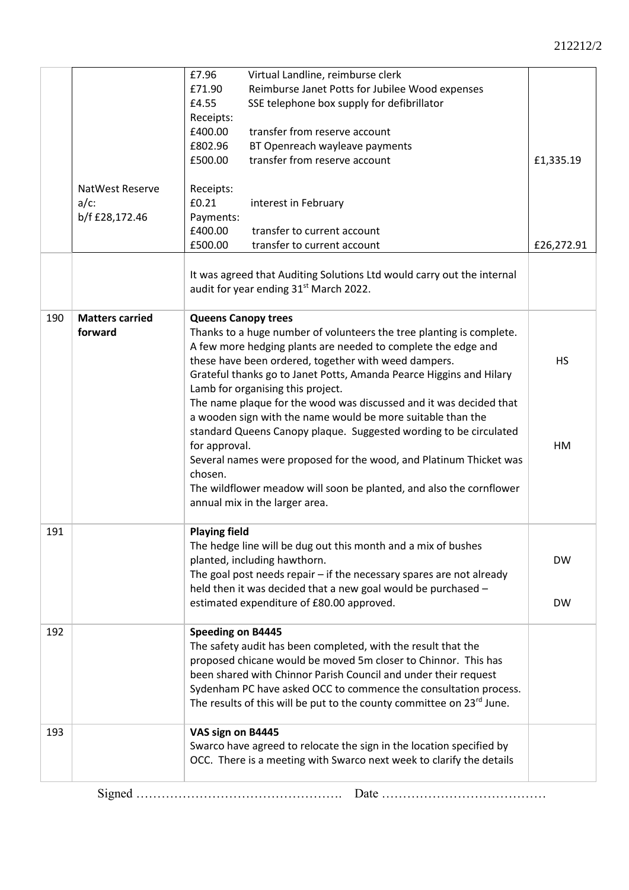|     |                                   | £7.96                                                                                                                                                                                                                                                                                                                                                                                                                                                                                                                                                                                                                                                                                                                                                        | Virtual Landline, reimburse clerk                                                                                                                                                                                                                                                     |                        |
|-----|-----------------------------------|--------------------------------------------------------------------------------------------------------------------------------------------------------------------------------------------------------------------------------------------------------------------------------------------------------------------------------------------------------------------------------------------------------------------------------------------------------------------------------------------------------------------------------------------------------------------------------------------------------------------------------------------------------------------------------------------------------------------------------------------------------------|---------------------------------------------------------------------------------------------------------------------------------------------------------------------------------------------------------------------------------------------------------------------------------------|------------------------|
|     |                                   | £71.90                                                                                                                                                                                                                                                                                                                                                                                                                                                                                                                                                                                                                                                                                                                                                       | Reimburse Janet Potts for Jubilee Wood expenses                                                                                                                                                                                                                                       |                        |
|     |                                   | £4.55                                                                                                                                                                                                                                                                                                                                                                                                                                                                                                                                                                                                                                                                                                                                                        | SSE telephone box supply for defibrillator                                                                                                                                                                                                                                            |                        |
|     |                                   | Receipts:                                                                                                                                                                                                                                                                                                                                                                                                                                                                                                                                                                                                                                                                                                                                                    |                                                                                                                                                                                                                                                                                       |                        |
|     |                                   | £400.00                                                                                                                                                                                                                                                                                                                                                                                                                                                                                                                                                                                                                                                                                                                                                      | transfer from reserve account                                                                                                                                                                                                                                                         |                        |
|     |                                   | £802.96                                                                                                                                                                                                                                                                                                                                                                                                                                                                                                                                                                                                                                                                                                                                                      | BT Openreach wayleave payments                                                                                                                                                                                                                                                        |                        |
|     |                                   | £500.00                                                                                                                                                                                                                                                                                                                                                                                                                                                                                                                                                                                                                                                                                                                                                      | transfer from reserve account                                                                                                                                                                                                                                                         | £1,335.19              |
|     |                                   |                                                                                                                                                                                                                                                                                                                                                                                                                                                                                                                                                                                                                                                                                                                                                              |                                                                                                                                                                                                                                                                                       |                        |
|     | <b>NatWest Reserve</b>            | Receipts:                                                                                                                                                                                                                                                                                                                                                                                                                                                                                                                                                                                                                                                                                                                                                    |                                                                                                                                                                                                                                                                                       |                        |
|     | $a/c$ :                           | £0.21                                                                                                                                                                                                                                                                                                                                                                                                                                                                                                                                                                                                                                                                                                                                                        | interest in February                                                                                                                                                                                                                                                                  |                        |
|     | b/f £28,172.46                    | Payments:                                                                                                                                                                                                                                                                                                                                                                                                                                                                                                                                                                                                                                                                                                                                                    |                                                                                                                                                                                                                                                                                       |                        |
|     |                                   | £400.00                                                                                                                                                                                                                                                                                                                                                                                                                                                                                                                                                                                                                                                                                                                                                      | transfer to current account                                                                                                                                                                                                                                                           |                        |
|     |                                   | £500.00                                                                                                                                                                                                                                                                                                                                                                                                                                                                                                                                                                                                                                                                                                                                                      | transfer to current account                                                                                                                                                                                                                                                           | £26,272.91             |
|     |                                   |                                                                                                                                                                                                                                                                                                                                                                                                                                                                                                                                                                                                                                                                                                                                                              |                                                                                                                                                                                                                                                                                       |                        |
|     |                                   |                                                                                                                                                                                                                                                                                                                                                                                                                                                                                                                                                                                                                                                                                                                                                              | It was agreed that Auditing Solutions Ltd would carry out the internal<br>audit for year ending 31 <sup>st</sup> March 2022.                                                                                                                                                          |                        |
| 190 | <b>Matters carried</b><br>forward | <b>Queens Canopy trees</b><br>Thanks to a huge number of volunteers the tree planting is complete.<br>A few more hedging plants are needed to complete the edge and<br>these have been ordered, together with weed dampers.<br>Grateful thanks go to Janet Potts, Amanda Pearce Higgins and Hilary<br>Lamb for organising this project.<br>The name plaque for the wood was discussed and it was decided that<br>a wooden sign with the name would be more suitable than the<br>standard Queens Canopy plaque. Suggested wording to be circulated<br>for approval.<br>Several names were proposed for the wood, and Platinum Thicket was<br>chosen.<br>The wildflower meadow will soon be planted, and also the cornflower<br>annual mix in the larger area. |                                                                                                                                                                                                                                                                                       | <b>HS</b><br>HM        |
| 191 |                                   | <b>Playing field</b>                                                                                                                                                                                                                                                                                                                                                                                                                                                                                                                                                                                                                                                                                                                                         | The hedge line will be dug out this month and a mix of bushes<br>planted, including hawthorn.<br>The goal post needs repair $-$ if the necessary spares are not already<br>held then it was decided that a new goal would be purchased -<br>estimated expenditure of £80.00 approved. | <b>DW</b><br><b>DW</b> |
| 192 |                                   | <b>Speeding on B4445</b><br>The safety audit has been completed, with the result that the<br>proposed chicane would be moved 5m closer to Chinnor. This has<br>been shared with Chinnor Parish Council and under their request<br>Sydenham PC have asked OCC to commence the consultation process.<br>The results of this will be put to the county committee on 23rd June.                                                                                                                                                                                                                                                                                                                                                                                  |                                                                                                                                                                                                                                                                                       |                        |
| 193 |                                   | VAS sign on B4445                                                                                                                                                                                                                                                                                                                                                                                                                                                                                                                                                                                                                                                                                                                                            | Swarco have agreed to relocate the sign in the location specified by<br>OCC. There is a meeting with Swarco next week to clarify the details                                                                                                                                          |                        |
|     |                                   |                                                                                                                                                                                                                                                                                                                                                                                                                                                                                                                                                                                                                                                                                                                                                              |                                                                                                                                                                                                                                                                                       |                        |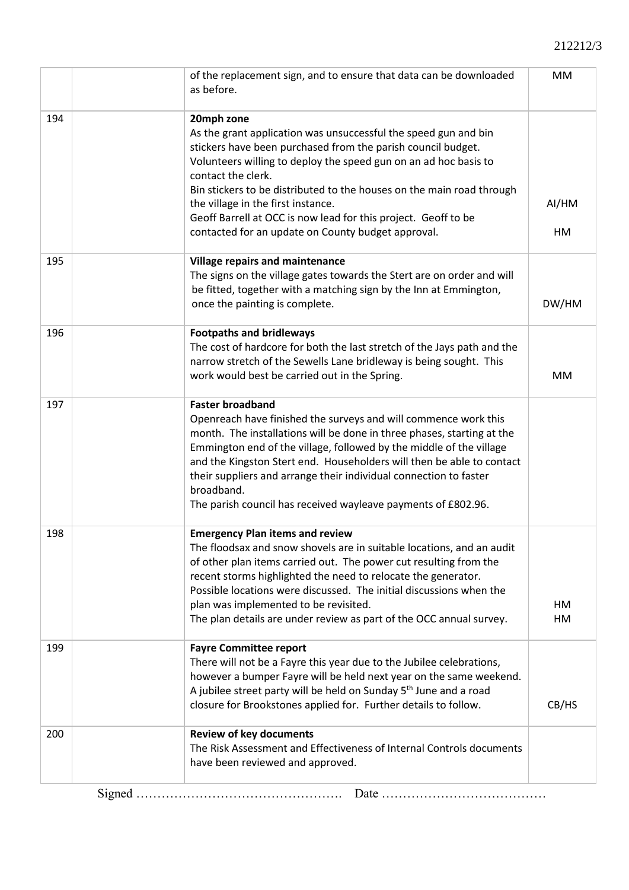## 212212/3

|     | of the replacement sign, and to ensure that data can be downloaded<br>as before.                                                                                                                                                                                                                                                                                                                                                                                               | MM          |
|-----|--------------------------------------------------------------------------------------------------------------------------------------------------------------------------------------------------------------------------------------------------------------------------------------------------------------------------------------------------------------------------------------------------------------------------------------------------------------------------------|-------------|
| 194 | 20mph zone<br>As the grant application was unsuccessful the speed gun and bin<br>stickers have been purchased from the parish council budget.<br>Volunteers willing to deploy the speed gun on an ad hoc basis to<br>contact the clerk.<br>Bin stickers to be distributed to the houses on the main road through<br>the village in the first instance.<br>Geoff Barrell at OCC is now lead for this project. Geoff to be<br>contacted for an update on County budget approval. | AI/HM<br>HM |
| 195 | <b>Village repairs and maintenance</b><br>The signs on the village gates towards the Stert are on order and will<br>be fitted, together with a matching sign by the Inn at Emmington,<br>once the painting is complete.                                                                                                                                                                                                                                                        | DW/HM       |
| 196 | <b>Footpaths and bridleways</b><br>The cost of hardcore for both the last stretch of the Jays path and the<br>narrow stretch of the Sewells Lane bridleway is being sought. This<br>work would best be carried out in the Spring.                                                                                                                                                                                                                                              | <b>MM</b>   |
| 197 | <b>Faster broadband</b><br>Openreach have finished the surveys and will commence work this<br>month. The installations will be done in three phases, starting at the<br>Emmington end of the village, followed by the middle of the village<br>and the Kingston Stert end. Householders will then be able to contact<br>their suppliers and arrange their individual connection to faster<br>broadband.<br>The parish council has received wayleave payments of £802.96.       |             |
| 198 | <b>Emergency Plan items and review</b><br>The floodsax and snow shovels are in suitable locations, and an audit<br>of other plan items carried out. The power cut resulting from the<br>recent storms highlighted the need to relocate the generator.<br>Possible locations were discussed. The initial discussions when the<br>plan was implemented to be revisited.<br>The plan details are under review as part of the OCC annual survey.                                   | HM<br>HM    |
| 199 | <b>Fayre Committee report</b><br>There will not be a Fayre this year due to the Jubilee celebrations,<br>however a bumper Fayre will be held next year on the same weekend.<br>A jubilee street party will be held on Sunday 5 <sup>th</sup> June and a road<br>closure for Brookstones applied for. Further details to follow.                                                                                                                                                | CB/HS       |
| 200 | <b>Review of key documents</b><br>The Risk Assessment and Effectiveness of Internal Controls documents<br>have been reviewed and approved.                                                                                                                                                                                                                                                                                                                                     |             |
|     |                                                                                                                                                                                                                                                                                                                                                                                                                                                                                |             |